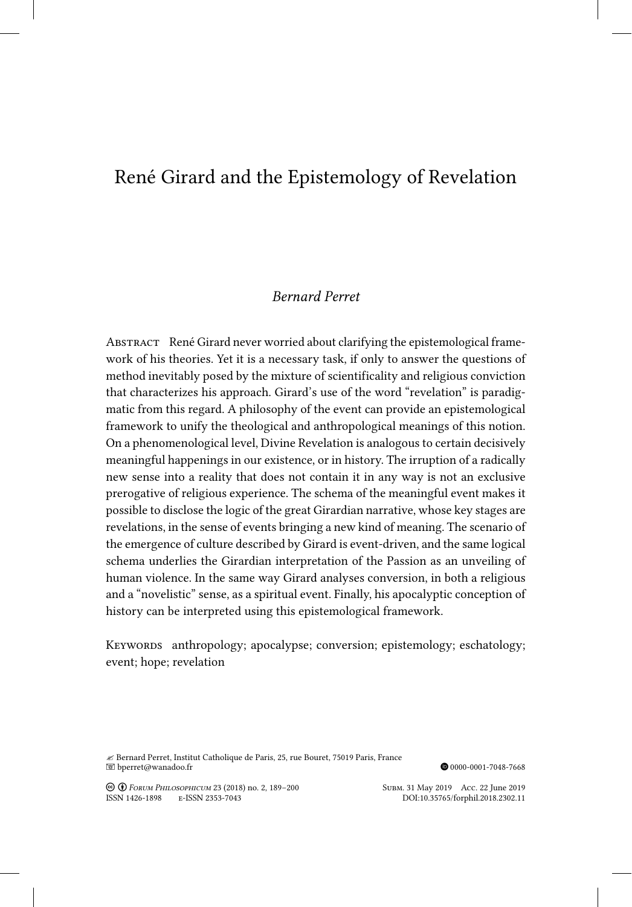# René Girard and the Epistemology of Revelation

## *Bernard Perret*

ABSTRACT René Girard never worried about clarifying the epistemological framework of his theories. Yet it is a necessary task, if only to answer the questions of method inevitably posed by the mixture of scientificality and religious conviction that characterizes his approach. Girard's use of the word "revelation" is paradigmatic from this regard. A philosophy of the event can provide an epistemological framework to unify the theological and anthropological meanings of this notion. On a phenomenological level, Divine Revelation is analogous to certain decisively meaningful happenings in our existence, or in history. The irruption of a radically new sense into a reality that does not contain it in any way is not an exclusive prerogative of religious experience. The schema of the meaningful event makes it possible to disclose the logic of the great Girardian narrative, whose key stages are revelations, in the sense of events bringing a new kind of meaning. The scenario of the emergence of culture described by Girard is event-driven, and the same logical schema underlies the Girardian interpretation of the Passion as an unveiling of human violence. In the same way Girard analyses conversion, in both a religious and a "novelistic" sense, as a spiritual event. Finally, his apocalyptic conception of history can be interpreted using this epistemological framework.

KEYWORDS anthropology; apocalypse; conversion; epistemology; eschatology; event; hope; revelation

 $\mathcal B$ Bernard Perret, Institut Catholique de Paris, 25, rue Bouret, 75019 Paris, France $\blacksquare$ b<br/>perret@wanadoo.fr

 $\textcircled{\small 90000-0001-7048-7668}$ 

Creative-Commons Creative-Commons Creative-Commons Creative-Commons Creative-Commons Creative-Commons Creative-Commons Creative-Commons Creative-Commons Creative-Commons Creative-Commons Creative-Commons Creative-Commons C ISSN 1426-1898 E-ISSN 2353-7043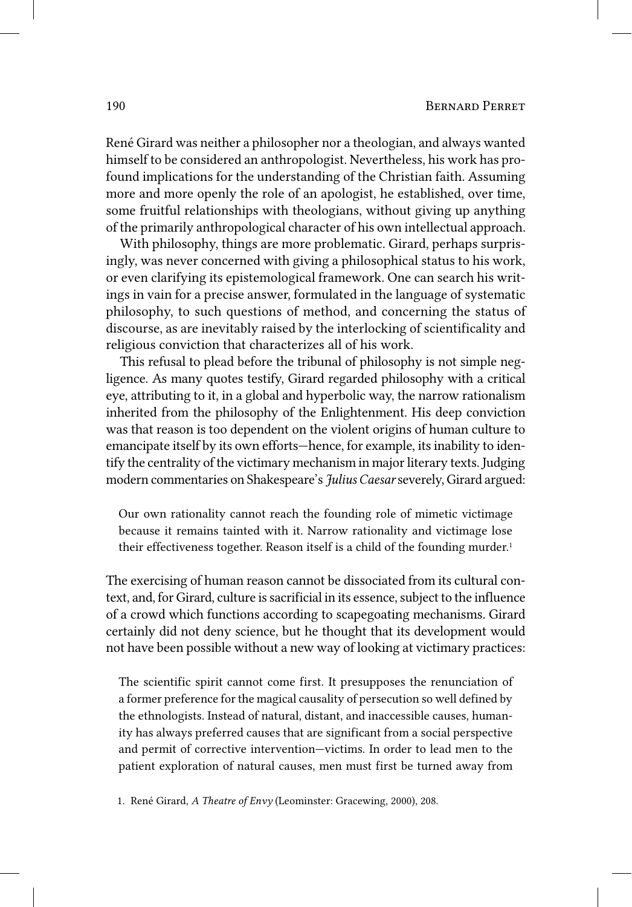René Girard was neither a philosopher nor a theologian, and always wanted himself to be considered an anthropologist. Nevertheless, his work has profound implications for the understanding of the Christian faith. Assuming more and more openly the role of an apologist, he established, over time, some fruitful relationships with theologians, without giving up anything of the primarily anthropological character of his own intellectual approach.

With philosophy, things are more problematic. Girard, perhaps surprisingly, was never concerned with giving a philosophical status to his work, or even clarifying its epistemological framework. One can search his writings in vain for a precise answer, formulated in the language of systematic philosophy, to such questions of method, and concerning the status of discourse, as are inevitably raised by the interlocking of scientificality and religious conviction that characterizes all of his work.

This refusal to plead before the tribunal of philosophy is not simple negligence. As many quotes testify, Girard regarded philosophy with a critical eye, attributing to it, in a global and hyperbolic way, the narrow rationalism inherited from the philosophy of the Enlightenment. His deep conviction was that reason is too dependent on the violent origins of human culture to emancipate itself by its own efforts—hence, for example, its inability to identify the centrality of the victimary mechanism in major literary texts. Judging modern commentaries on Shakespeare's *Julius Caesar* severely, Girard argued:

Our own rationality cannot reach the founding role of mimetic victimage because it remains tainted with it. Narrow rationality and victimage lose their effectiveness together. Reason itself is a child of the founding murder.<sup>1</sup>

The exercising of human reason cannot be dissociated from its cultural context, and, for Girard, culture is sacrificial in its essence, subject to the influence of a crowd which functions according to scapegoating mechanisms. Girard certainly did not deny science, but he thought that its development would not have been possible without a new way of looking at victimary practices:

The scientific spirit cannot come first. It presupposes the renunciation of a former preference for the magical causality of persecution so well defined by the ethnologists. Instead of natural, distant, and inaccessible causes, humanity has always preferred causes that are significant from a social perspective and permit of corrective intervention—victims. In order to lead men to the patient exploration of natural causes, men must first be turned away from

1. René Girard, *A Theatre of Envy* (Leominster: Gracewing, 2000), 208.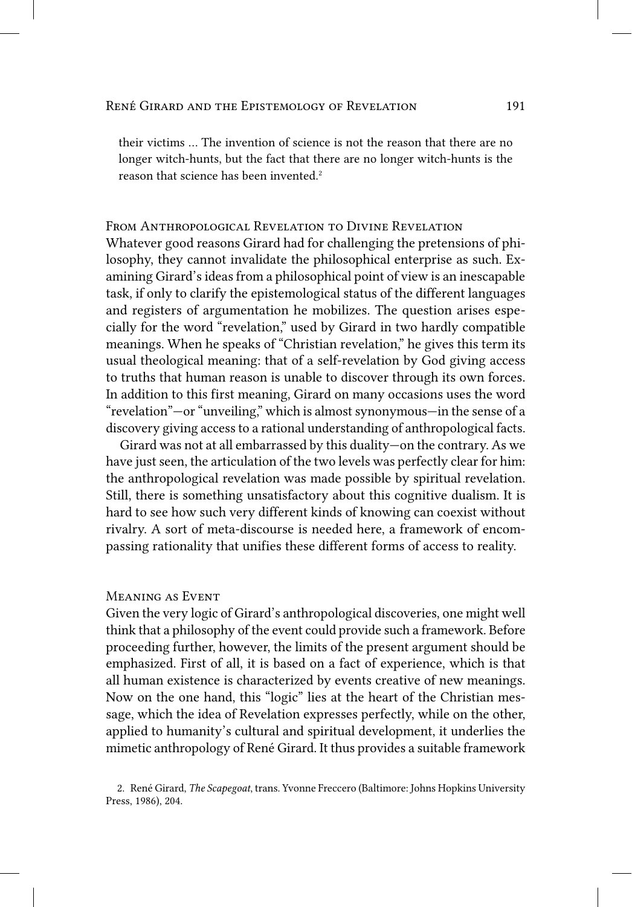their victims … The invention of science is not the reason that there are no longer witch-hunts, but the fact that there are no longer witch-hunts is the reason that science has been invented. 2

## From Anthropological Revelation to Divine Revelation

Whatever good reasons Girard had for challenging the pretensions of philosophy, they cannot invalidate the philosophical enterprise as such. Examining Girard's ideas from a philosophical point of view is an inescapable task, if only to clarify the epistemological status of the different languages and registers of argumentation he mobilizes. The question arises especially for the word "revelation," used by Girard in two hardly compatible meanings. When he speaks of "Christian revelation," he gives this term its usual theological meaning: that of a self-revelation by God giving access to truths that human reason is unable to discover through its own forces. In addition to this first meaning, Girard on many occasions uses the word "revelation"—or "unveiling," which is almost synonymous—in the sense of a discovery giving access to a rational understanding of anthropological facts.

Girard was not at all embarrassed by this duality—on the contrary. As we have just seen, the articulation of the two levels was perfectly clear for him: the anthropological revelation was made possible by spiritual revelation. Still, there is something unsatisfactory about this cognitive dualism. It is hard to see how such very different kinds of knowing can coexist without rivalry. A sort of meta-discourse is needed here, a framework of encompassing rationality that unifies these different forms of access to reality.

#### Meaning as Event

Given the very logic of Girard's anthropological discoveries, one might well think that a philosophy of the event could provide such a framework. Before proceeding further, however, the limits of the present argument should be emphasized. First of all, it is based on a fact of experience, which is that all human existence is characterized by events creative of new meanings. Now on the one hand, this "logic" lies at the heart of the Christian message, which the idea of Revelation expresses perfectly, while on the other, applied to humanity's cultural and spiritual development, it underlies the mimetic anthropology of René Girard. It thus provides a suitable framework

<sup>2.</sup> René Girard, *The Scapegoat*, trans. Yvonne Freccero (Baltimore: Johns Hopkins University Press, 1986), 204.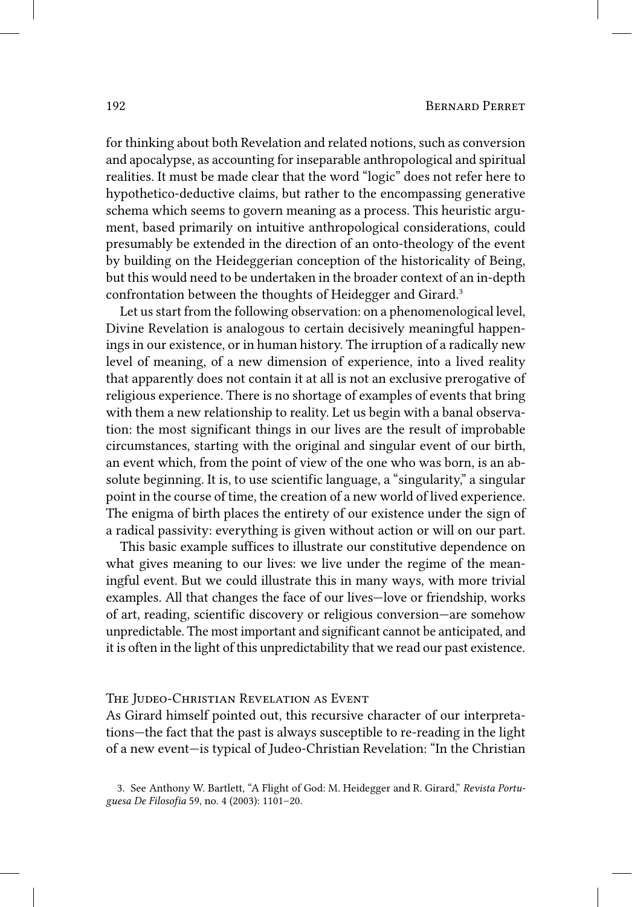for thinking about both Revelation and related notions, such as conversion and apocalypse, as accounting for inseparable anthropological and spiritual realities. It must be made clear that the word "logic" does not refer here to hypothetico‑deductive claims, but rather to the encompassing generative schema which seems to govern meaning as a process. This heuristic argument, based primarily on intuitive anthropological considerations, could presumably be extended in the direction of an onto-theology of the event by building on the Heideggerian conception of the historicality of Being, but this would need to be undertaken in the broader context of an in‑depth confrontation between the thoughts of Heidegger and Girard. 3

Let us start from the following observation: on a phenomenological level, Divine Revelation is analogous to certain decisively meaningful happenings in our existence, or in human history. The irruption of a radically new level of meaning, of a new dimension of experience, into a lived reality that apparently does not contain it at all is not an exclusive prerogative of religious experience. There is no shortage of examples of events that bring with them a new relationship to reality. Let us begin with a banal observation: the most significant things in our lives are the result of improbable circumstances, starting with the original and singular event of our birth, an event which, from the point of view of the one who was born, is an absolute beginning. It is, to use scientific language, a "singularity," a singular point in the course of time, the creation of a new world of lived experience. The enigma of birth places the entirety of our existence under the sign of a radical passivity: everything is given without action or will on our part.

This basic example suffices to illustrate our constitutive dependence on what gives meaning to our lives: we live under the regime of the meaningful event. But we could illustrate this in many ways, with more trivial examples. All that changes the face of our lives—love or friendship, works of art, reading, scientific discovery or religious conversion—are somehow unpredictable. The most important and significant cannot be anticipated, and it is often in the light of this unpredictability that we read our past existence.

#### THE JUDEO-CHRISTIAN REVELATION AS EVENT

As Girard himself pointed out, this recursive character of our interpretations—the fact that the past is always susceptible to re‑reading in the light of a new event—is typical of Judeo‑Christian Revelation: "In the Christian

<sup>3.</sup> See Anthony W. Bartlett, "A Flight of God: M. Heidegger and R. Girard," *Revista Portuguesa De Filosofia* 59, no. 4 (2003): 1101–20.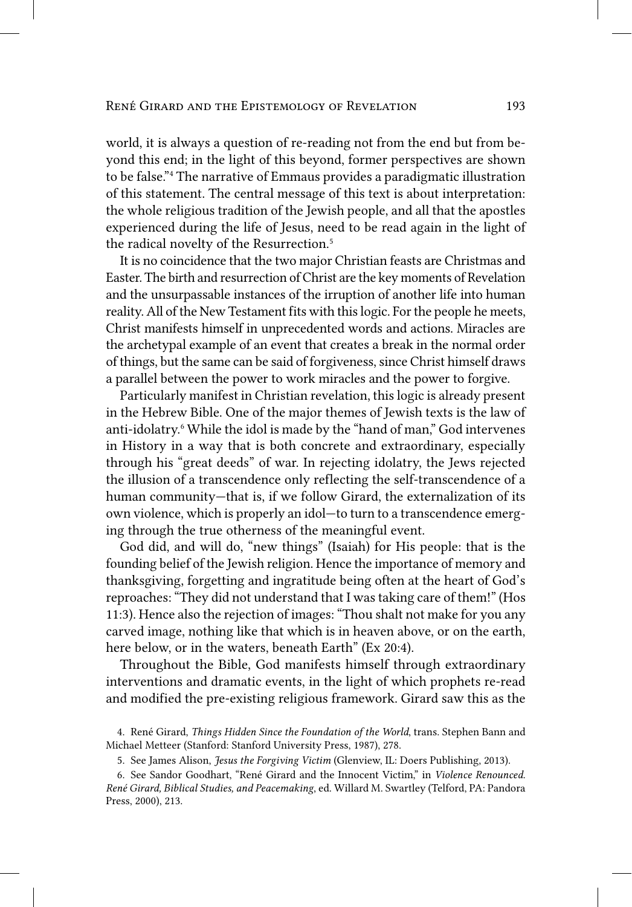world, it is always a question of re-reading not from the end but from beyond this end; in the light of this beyond, former perspectives are shown to be false." 4 The narrative of Emmaus provides a paradigmatic illustration of this statement. The central message of this text is about interpretation: the whole religious tradition of the Jewish people, and all that the apostles experienced during the life of Jesus, need to be read again in the light of the radical novelty of the Resurrection. 5

It is no coincidence that the two major Christian feasts are Christmas and Easter. The birth and resurrection of Christ are the key moments of Revelation and the unsurpassable instances of the irruption of another life into human reality. All of the New Testament fits with this logic. For the people he meets, Christ manifests himself in unprecedented words and actions. Miracles are the archetypal example of an event that creates a break in the normal order of things, but the same can be said of forgiveness, since Christ himself draws a parallel between the power to work miracles and the power to forgive.

Particularly manifest in Christian revelation, this logic is already present in the Hebrew Bible. One of the major themes of Jewish texts is the law of anti-idolatry.<sup>6</sup> While the idol is made by the "hand of man," God intervenes in History in a way that is both concrete and extraordinary, especially through his "great deeds" of war. In rejecting idolatry, the Jews rejected the illusion of a transcendence only reflecting the self-transcendence of a human community—that is, if we follow Girard, the externalization of its own violence, which is properly an idol—to turn to a transcendence emerging through the true otherness of the meaningful event.

God did, and will do, "new things" (Isaiah) for His people: that is the founding belief of the Jewish religion. Hence the importance of memory and thanksgiving, forgetting and ingratitude being often at the heart of God's reproaches: "They did not understand that I was taking care of them!" (Hos 11:3). Hence also the rejection of images: "Thou shalt not make for you any carved image, nothing like that which is in heaven above, or on the earth, here below, or in the waters, beneath Earth" (Ex 20:4).

Throughout the Bible, God manifests himself through extraordinary interventions and dramatic events, in the light of which prophets re-read and modified the pre‑existing religious framework. Girard saw this as the

<sup>4.</sup> René Girard, *Things Hidden Since the Foundation of the World*, trans. Stephen Bann and Michael Metteer (Stanford: Stanford University Press, 1987), 278.

<sup>5.</sup> See James Alison, *Jesus the Forgiving Victim* (Glenview, IL: Doers Publishing, 2013).

<sup>6.</sup> See Sandor Goodhart, "René Girard and the Innocent Victim," in *Violence Renounced. René Girard, Biblical Studies, and Peacemaking*, ed. Willard M. Swartley (Telford, PA: Pandora Press, 2000), 213.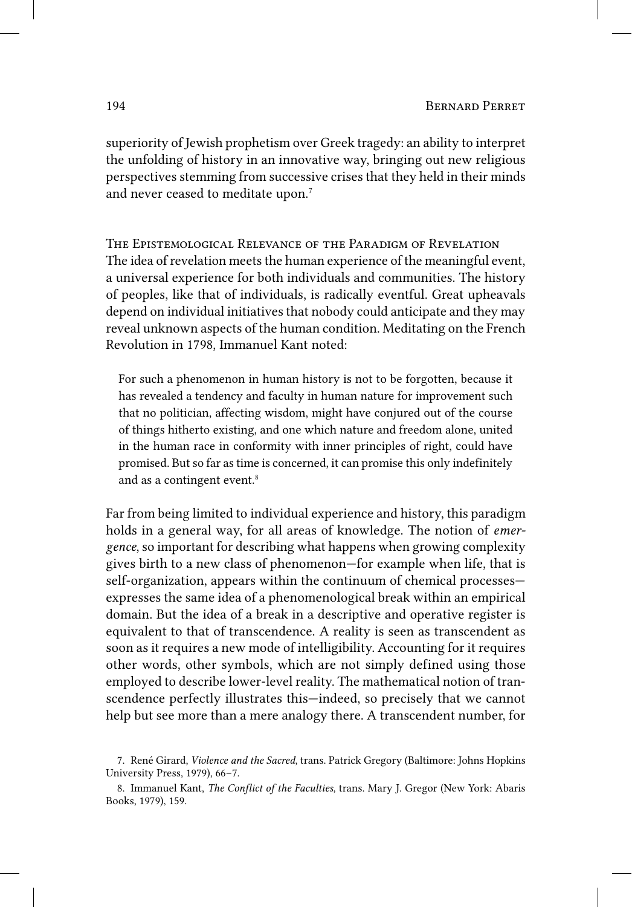superiority of Jewish prophetism over Greek tragedy: an ability to interpret the unfolding of history in an innovative way, bringing out new religious perspectives stemming from successive crises that they held in their minds and never ceased to meditate upon. 7

The Epistemological Relevance of the Paradigm of Revelation The idea of revelation meets the human experience of the meaningful event, a universal experience for both individuals and communities. The history of peoples, like that of individuals, is radically eventful. Great upheavals depend on individual initiatives that nobody could anticipate and they may reveal unknown aspects of the human condition. Meditating on the French Revolution in 1798, Immanuel Kant noted:

For such a phenomenon in human history is not to be forgotten, because it has revealed a tendency and faculty in human nature for improvement such that no politician, affecting wisdom, might have conjured out of the course of things hitherto existing, and one which nature and freedom alone, united in the human race in conformity with inner principles of right, could have promised. But so far as time is concerned, it can promise this only indefinitely and as a contingent event. 8

Far from being limited to individual experience and history, this paradigm holds in a general way, for all areas of knowledge. The notion of *emergence*, so important for describing what happens when growing complexity gives birth to a new class of phenomenon—for example when life, that is self-organization, appears within the continuum of chemical processes expresses the same idea of a phenomenological break within an empirical domain. But the idea of a break in a descriptive and operative register is equivalent to that of transcendence. A reality is seen as transcendent as soon as it requires a new mode of intelligibility. Accounting for it requires other words, other symbols, which are not simply defined using those employed to describe lower-level reality. The mathematical notion of transcendence perfectly illustrates this—indeed, so precisely that we cannot help but see more than a mere analogy there. A transcendent number, for

<sup>7.</sup> René Girard, *Violence and the Sacred*, trans. Patrick Gregory (Baltimore: Johns Hopkins University Press, 1979), 66–7.

<sup>8.</sup> Immanuel Kant, *The Conflict of the Faculties*, trans. Mary J. Gregor (New York: Abaris Books, 1979), 159.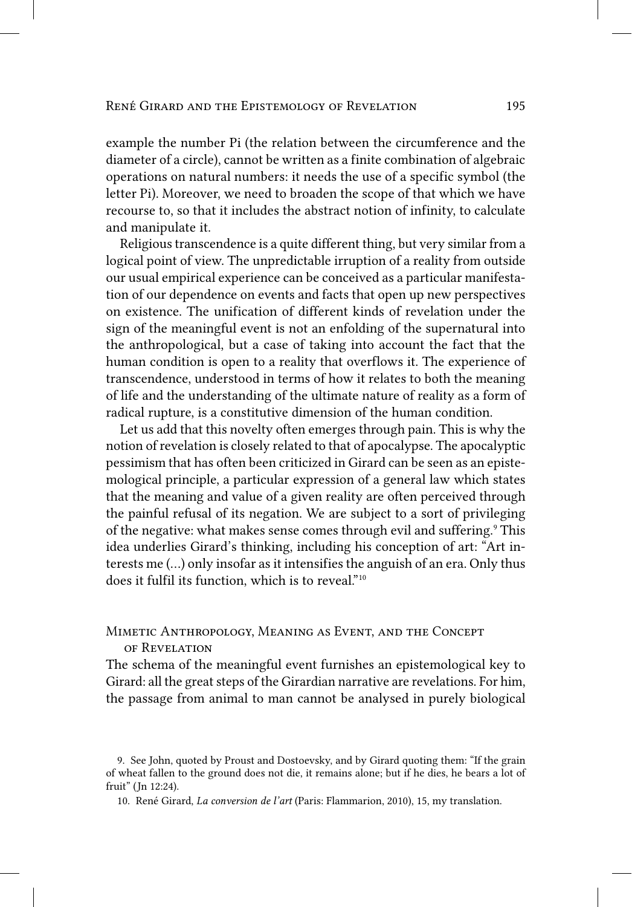example the number Pi (the relation between the circumference and the diameter of a circle), cannot be written as a finite combination of algebraic operations on natural numbers: it needs the use of a specific symbol (the letter Pi). Moreover, we need to broaden the scope of that which we have recourse to, so that it includes the abstract notion of infinity, to calculate and manipulate it.

Religious transcendence is a quite different thing, but very similar from a logical point of view. The unpredictable irruption of a reality from outside our usual empirical experience can be conceived as a particular manifestation of our dependence on events and facts that open up new perspectives on existence. The unification of different kinds of revelation under the sign of the meaningful event is not an enfolding of the supernatural into the anthropological, but a case of taking into account the fact that the human condition is open to a reality that overflows it. The experience of transcendence, understood in terms of how it relates to both the meaning of life and the understanding of the ultimate nature of reality as a form of radical rupture, is a constitutive dimension of the human condition.

Let us add that this novelty often emerges through pain. This is why the notion of revelation is closely related to that of apocalypse. The apocalyptic pessimism that has often been criticized in Girard can be seen as an epistemological principle, a particular expression of a general law which states that the meaning and value of a given reality are often perceived through the painful refusal of its negation. We are subject to a sort of privileging of the negative: what makes sense comes through evil and suffering. 9 This idea underlies Girard's thinking, including his conception of art: "Art interests me (…) only insofar as it intensifies the anguish of an era. Only thus does it fulfil its function, which is to reveal." 10

Mimetic Anthropology, Meaning as Event, and the Concept of Revelation

The schema of the meaningful event furnishes an epistemological key to Girard: all the great steps of the Girardian narrative are revelations. For him, the passage from animal to man cannot be analysed in purely biological

<sup>9.</sup> See John, quoted by Proust and Dostoevsky, and by Girard quoting them: "If the grain of wheat fallen to the ground does not die, it remains alone; but if he dies, he bears a lot of fruit" (Jn 12:24).

<sup>10.</sup> René Girard, *La conversion de l'art* (Paris: Flammarion, 2010), 15, my translation.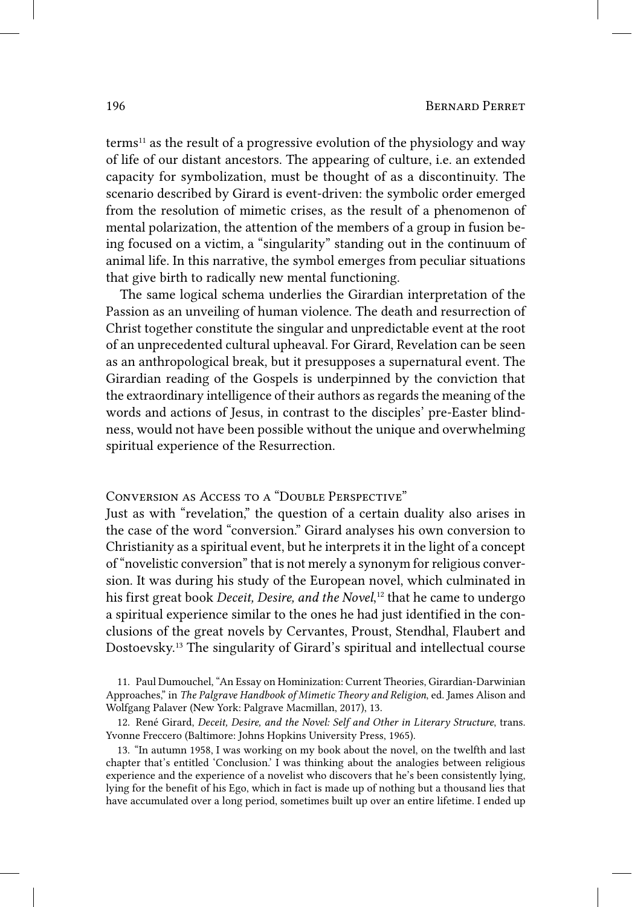terms 11 as the result of a progressive evolution of the physiology and way of life of our distant ancestors. The appearing of culture, i.e. an extended capacity for symbolization, must be thought of as a discontinuity. The scenario described by Girard is event-driven: the symbolic order emerged from the resolution of mimetic crises, as the result of a phenomenon of mental polarization, the attention of the members of a group in fusion being focused on a victim, a "singularity" standing out in the continuum of animal life. In this narrative, the symbol emerges from peculiar situations that give birth to radically new mental functioning.

The same logical schema underlies the Girardian interpretation of the Passion as an unveiling of human violence. The death and resurrection of Christ together constitute the singular and unpredictable event at the root of an unprecedented cultural upheaval. For Girard, Revelation can be seen as an anthropological break, but it presupposes a supernatural event. The Girardian reading of the Gospels is underpinned by the conviction that the extraordinary intelligence of their authors as regards the meaning of the words and actions of Jesus, in contrast to the disciples' pre‑Easter blindness, would not have been possible without the unique and overwhelming spiritual experience of the Resurrection.

Conversion as Access to a "Double Perspective"

Just as with "revelation," the question of a certain duality also arises in the case of the word "conversion." Girard analyses his own conversion to Christianity as a spiritual event, but he interprets it in the light of a concept of "novelistic conversion" that is not merely a synonym for religious conversion. It was during his study of the European novel, which culminated in his first great book *Deceit, Desire, and the Novel*,  12 that he came to undergo a spiritual experience similar to the ones he had just identified in the conclusions of the great novels by Cervantes, Proust, Stendhal, Flaubert and Dostoevsky. 13 The singularity of Girard's spiritual and intellectual course

11. Paul Dumouchel, "An Essay on Hominization: Current Theories, Girardian-Darwinian Approaches," in *The Palgrave Handbook of Mimetic Theory and Religion*, ed. James Alison and Wolfgang Palaver (New York: Palgrave Macmillan, 2017), 13.

12. René Girard, *Deceit, Desire, and the Novel: Self and Other in Literary Structure*, trans. Yvonne Freccero (Baltimore: Johns Hopkins University Press, 1965).

13. "In autumn 1958, I was working on my book about the novel, on the twelfth and last chapter that's entitled 'Conclusion.' I was thinking about the analogies between religious experience and the experience of a novelist who discovers that he's been consistently lying, lying for the benefit of his Ego, which in fact is made up of nothing but a thousand lies that have accumulated over a long period, sometimes built up over an entire lifetime. I ended up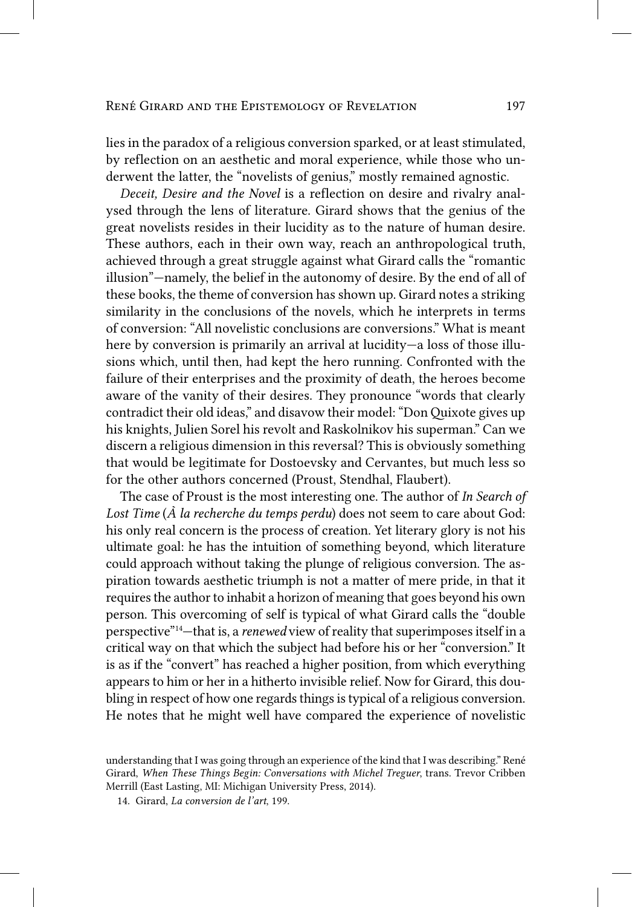#### René Girard and the Epistemology of Revelation 197

lies in the paradox of a religious conversion sparked, or at least stimulated, by reflection on an aesthetic and moral experience, while those who underwent the latter, the "novelists of genius," mostly remained agnostic.

*Deceit, Desire and the Novel* is a reflection on desire and rivalry analysed through the lens of literature. Girard shows that the genius of the great novelists resides in their lucidity as to the nature of human desire. These authors, each in their own way, reach an anthropological truth, achieved through a great struggle against what Girard calls the "romantic illusion"—namely, the belief in the autonomy of desire. By the end of all of these books, the theme of conversion has shown up. Girard notes a striking similarity in the conclusions of the novels, which he interprets in terms of conversion: "All novelistic conclusions are conversions." What is meant here by conversion is primarily an arrival at lucidity—a loss of those illusions which, until then, had kept the hero running. Confronted with the failure of their enterprises and the proximity of death, the heroes become aware of the vanity of their desires. They pronounce "words that clearly contradict their old ideas," and disavow their model: "Don Quixote gives up his knights, Julien Sorel his revolt and Raskolnikov his superman." Can we discern a religious dimension in this reversal? This is obviously something that would be legitimate for Dostoevsky and Cervantes, but much less so for the other authors concerned (Proust, Stendhal, Flaubert).

The case of Proust is the most interesting one. The author of *In Search of Lost Time* (*À la recherche du temps perdu*) does not seem to care about God: his only real concern is the process of creation. Yet literary glory is not his ultimate goal: he has the intuition of something beyond, which literature could approach without taking the plunge of religious conversion. The aspiration towards aesthetic triumph is not a matter of mere pride, in that it requires the author to inhabit a horizon of meaning that goes beyond his own person. This overcoming of self is typical of what Girard calls the "double perspective" 14—that is, a *renewed* view of reality that superimposes itself in a critical way on that which the subject had before his or her "conversion." It is as if the "convert" has reached a higher position, from which everything appears to him or her in a hitherto invisible relief. Now for Girard, this doubling in respect of how one regards things is typical of a religious conversion. He notes that he might well have compared the experience of novelistic

understanding that I was going through an experience of the kind that I was describing." René Girard, *When These Things Begin: Conversations with Michel Treguer*, trans. Trevor Cribben Merrill (East Lasting, MI: Michigan University Press, 2014).

<sup>14.</sup> Girard, *La conversion de l'art*, 199.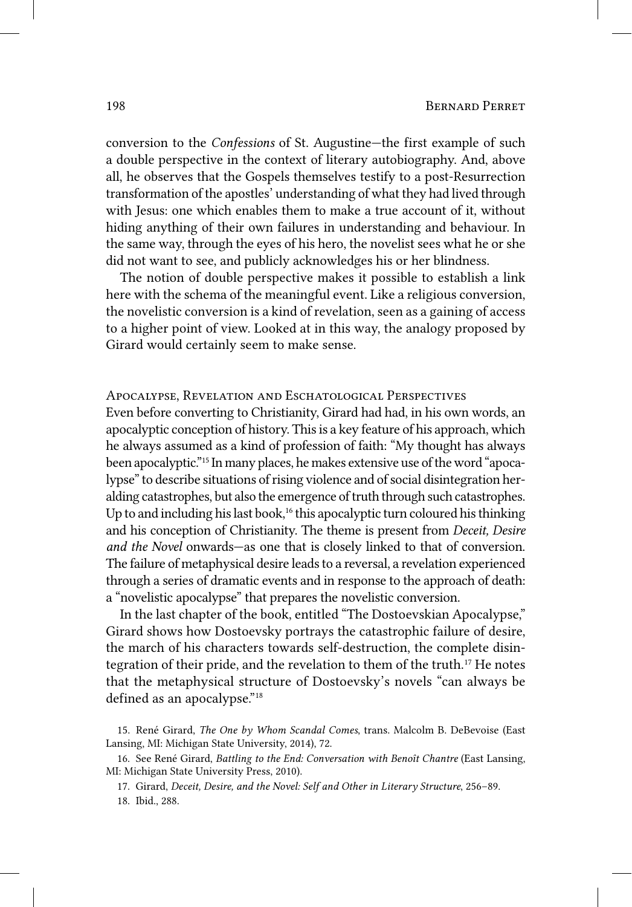conversion to the *Confessions* of St. Augustine—the first example of such a double perspective in the context of literary autobiography. And, above all, he observes that the Gospels themselves testify to a post‑Resurrection transformation of the apostles' understanding of what they had lived through with Jesus: one which enables them to make a true account of it, without hiding anything of their own failures in understanding and behaviour. In the same way, through the eyes of his hero, the novelist sees what he or she did not want to see, and publicly acknowledges his or her blindness.

The notion of double perspective makes it possible to establish a link here with the schema of the meaningful event. Like a religious conversion, the novelistic conversion is a kind of revelation, seen as a gaining of access to a higher point of view. Looked at in this way, the analogy proposed by Girard would certainly seem to make sense.

### Apocalypse, Revelation and Eschatological Perspectives

Even before converting to Christianity, Girard had had, in his own words, an apocalyptic conception of history. This is a key feature of his approach, which he always assumed as a kind of profession of faith: "My thought has always been apocalyptic."<sup>15</sup> In many places, he makes extensive use of the word "apocalypse" to describe situations of rising violence and of social disintegration heralding catastrophes, but also the emergence of truth through such catastrophes. Up to and including his last book,<sup>16</sup> this apocalyptic turn coloured his thinking and his conception of Christianity. The theme is present from *Deceit, Desire and the Novel* onwards—as one that is closely linked to that of conversion. The failure of metaphysical desire leads to a reversal, a revelation experienced through a series of dramatic events and in response to the approach of death: a "novelistic apocalypse" that prepares the novelistic conversion.

In the last chapter of the book, entitled "The Dostoevskian Apocalypse," Girard shows how Dostoevsky portrays the catastrophic failure of desire, the march of his characters towards self‑destruction, the complete disintegration of their pride, and the revelation to them of the truth. 17 He notes that the metaphysical structure of Dostoevsky's novels "can always be defined as an apocalypse."<sup>18</sup>

17. Girard, *Deceit, Desire, and the Novel: Self and Other in Literary Structure*, 256–89.

<sup>15.</sup> René Girard, *The One by Whom Scandal Comes*, trans. Malcolm B. DeBevoise (East Lansing, MI: Michigan State University, 2014), 72.

<sup>16.</sup> See René Girard, *Battling to the End: Conversation with Benoît Chantre* (East Lansing, MI: Michigan State University Press, 2010).

<sup>18.</sup> Ibid., 288.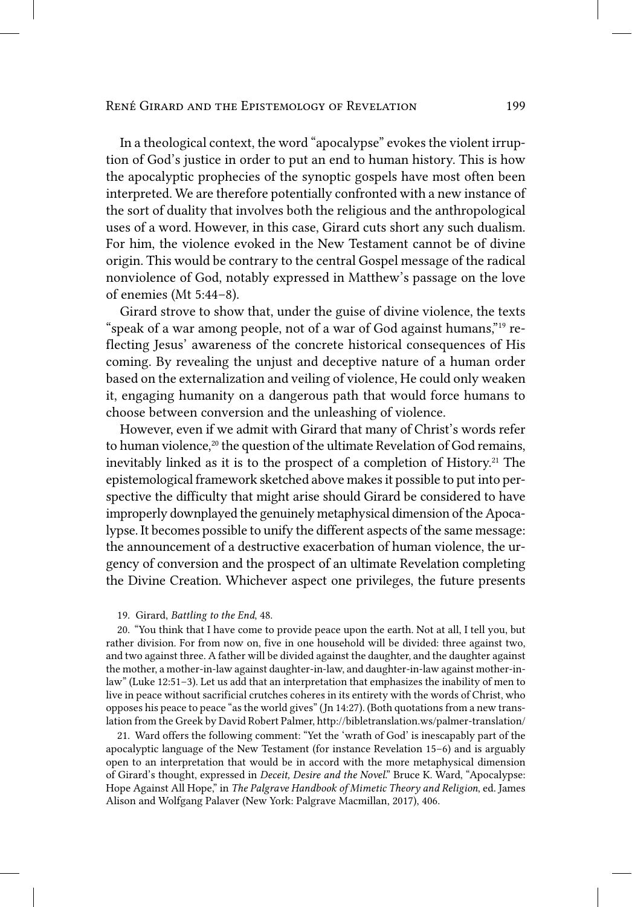#### René Girard and the Epistemology of Revelation 199

In a theological context, the word "apocalypse" evokes the violent irruption of God's justice in order to put an end to human history. This is how the apocalyptic prophecies of the synoptic gospels have most often been interpreted. We are therefore potentially confronted with a new instance of the sort of duality that involves both the religious and the anthropological uses of a word. However, in this case, Girard cuts short any such dualism. For him, the violence evoked in the New Testament cannot be of divine origin. This would be contrary to the central Gospel message of the radical nonviolence of God, notably expressed in Matthew's passage on the love of enemies (Mt 5:44–8).

Girard strove to show that, under the guise of divine violence, the texts "speak of a war among people, not of a war of God against humans," 19 reflecting Jesus' awareness of the concrete historical consequences of His coming. By revealing the unjust and deceptive nature of a human order based on the externalization and veiling of violence, He could only weaken it, engaging humanity on a dangerous path that would force humans to choose between conversion and the unleashing of violence.

However, even if we admit with Girard that many of Christ's words refer to human violence,<sup>20</sup> the question of the ultimate Revelation of God remains, inevitably linked as it is to the prospect of a completion of History.<sup>21</sup> The epistemological framework sketched above makes it possible to put into perspective the difficulty that might arise should Girard be considered to have improperly downplayed the genuinely metaphysical dimension of the Apocalypse. It becomes possible to unify the different aspects of the same message: the announcement of a destructive exacerbation of human violence, the urgency of conversion and the prospect of an ultimate Revelation completing the Divine Creation. Whichever aspect one privileges, the future presents

#### 19. Girard, *Battling to the End*, 48.

20. "You think that I have come to provide peace upon the earth. Not at all, I tell you, but rather division. For from now on, five in one household will be divided: three against two, and two against three. A father will be divided against the daughter, and the daughter against the mother, a mother-in-law against daughter-in-law, and daughter-in-law against mother-inlaw" (Luke 12:51–3). Let us add that an interpretation that emphasizes the inability of men to live in peace without sacrificial crutches coheres in its entirety with the words of Christ, who opposes his peace to peace "as the world gives" (Jn 14:27). (Both quotations from a new translation from the Greek by David Robert Palmer, http://bibletranslation.ws/palmer-translation/

21. Ward offers the following comment: "Yet the 'wrath of God' is inescapably part of the apocalyptic language of the New Testament (for instance Revelation 15–6) and is arguably open to an interpretation that would be in accord with the more metaphysical dimension of Girard's thought, expressed in *Deceit, Desire and the Novel*." Bruce K. Ward, "Apocalypse: Hope Against All Hope," in *The Palgrave Handbook of Mimetic Theory and Religion*, ed. James Alison and Wolfgang Palaver (New York: Palgrave Macmillan, 2017), 406.